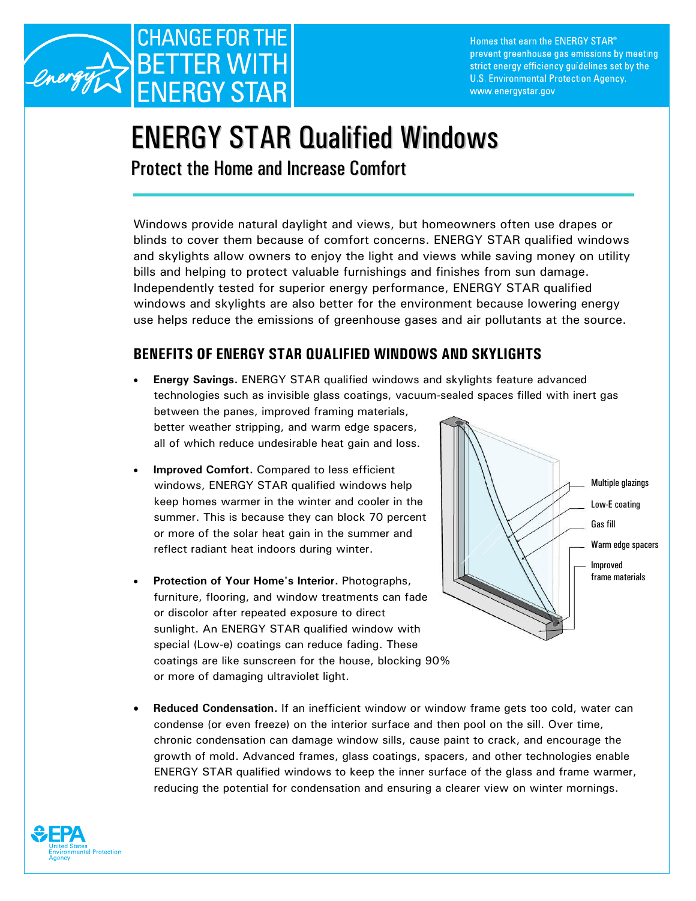

Homes that earn the ENERGY STAR® prevent greenhouse gas emissions by meeting strict energy efficiency guidelines set by the U.S. Environmental Protection Agency. www.energystar.gov

# ENERGY STAR Qualified Windows

Protect the Home and Increase Comfort

Windows provide natural daylight and views, but homeowners often use drapes or blinds to cover them because of comfort concerns. ENERGY STAR qualified windows and skylights allow owners to enjoy the light and views while saving money on utility bills and helping to protect valuable furnishings and finishes from sun damage. Independently tested for superior energy performance, ENERGY STAR qualified windows and skylights are also better for the environment because lowering energy use helps reduce the emissions of greenhouse gases and air pollutants at the source.

## **BENEFITS OF ENERGY STAR QUALIFIED WINDOWS AND SKYLIGHTS**

- **Energy Savings.** ENERGY STAR qualified windows and skylights feature advanced technologies such as invisible glass coatings, vacuum-sealed spaces filled with inert gas between the panes, improved framing materials, better weather stripping, and warm edge spacers, all of which reduce undesirable heat gain and loss.
- **Improved Comfort.** Compared to less efficient windows, ENERGY STAR qualified windows help keep homes warmer in the winter and cooler in the summer. This is because they can block 70 percent or more of the solar heat gain in the summer and reflect radiant heat indoors during winter.
- **Protection of Your Home's Interior.** Photographs, furniture, flooring, and window treatments can fade or discolor after repeated exposure to direct sunlight. An ENERGY STAR qualified window with special (Low-e) coatings can reduce fading. These coatings are like sunscreen for the house, blocking 90% or more of damaging ultraviolet light.



• **Reduced Condensation.** If an inefficient window or window frame gets too cold, water can condense (or even freeze) on the interior surface and then pool on the sill. Over time, chronic condensation can damage window sills, cause paint to crack, and encourage the growth of mold. Advanced frames, glass coatings, spacers, and other technologies enable ENERGY STAR qualified windows to keep the inner surface of the glass and frame warmer, reducing the potential for condensation and ensuring a clearer view on winter mornings.